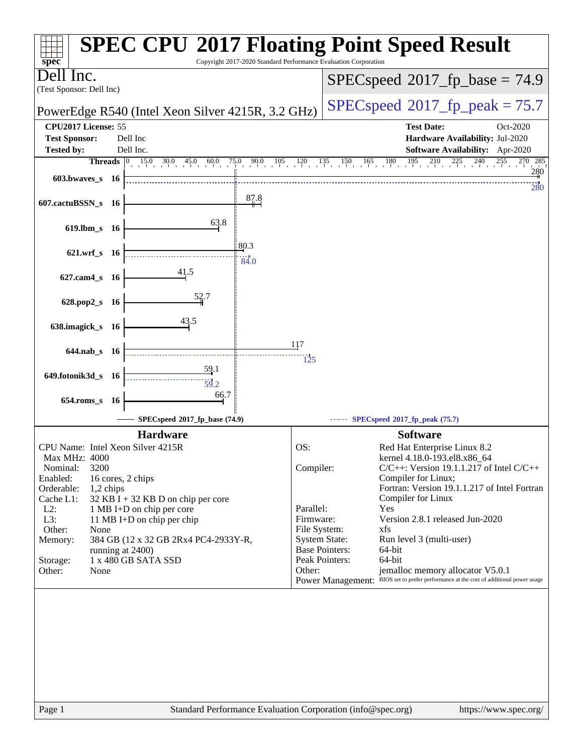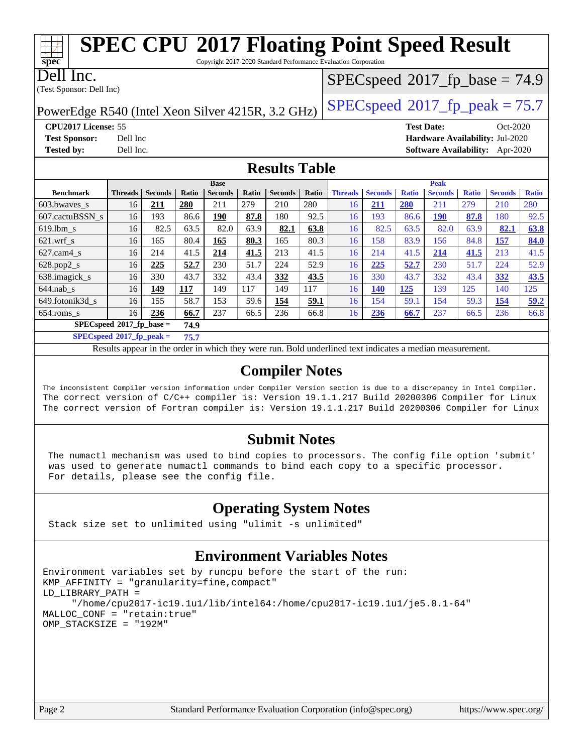Copyright 2017-2020 Standard Performance Evaluation Corporation

Dell Inc.

**[spec](http://www.spec.org/)**

(Test Sponsor: Dell Inc)

 $SPECspeed*2017_fp\_base = 74.9$  $SPECspeed*2017_fp\_base = 74.9$ 

PowerEdge R540 (Intel Xeon Silver 4215R, 3.2 GHz)  $\left|$  [SPECspeed](http://www.spec.org/auto/cpu2017/Docs/result-fields.html#SPECspeed2017fppeak)<sup>®</sup>[2017\\_fp\\_peak = 7](http://www.spec.org/auto/cpu2017/Docs/result-fields.html#SPECspeed2017fppeak)5.7

**[CPU2017 License:](http://www.spec.org/auto/cpu2017/Docs/result-fields.html#CPU2017License)** 55 **[Test Date:](http://www.spec.org/auto/cpu2017/Docs/result-fields.html#TestDate)** Oct-2020 **[Test Sponsor:](http://www.spec.org/auto/cpu2017/Docs/result-fields.html#TestSponsor)** Dell Inc **[Hardware Availability:](http://www.spec.org/auto/cpu2017/Docs/result-fields.html#HardwareAvailability)** Jul-2020 **[Tested by:](http://www.spec.org/auto/cpu2017/Docs/result-fields.html#Testedby)** Dell Inc. **[Software Availability:](http://www.spec.org/auto/cpu2017/Docs/result-fields.html#SoftwareAvailability)** Apr-2020

### **[Results Table](http://www.spec.org/auto/cpu2017/Docs/result-fields.html#ResultsTable)**

|                            | <b>Base</b>    |                |            |                |       | <b>Peak</b>    |       |                |                |              |                |              |                |              |
|----------------------------|----------------|----------------|------------|----------------|-------|----------------|-------|----------------|----------------|--------------|----------------|--------------|----------------|--------------|
| <b>Benchmark</b>           | <b>Threads</b> | <b>Seconds</b> | Ratio      | <b>Seconds</b> | Ratio | <b>Seconds</b> | Ratio | <b>Threads</b> | <b>Seconds</b> | <b>Ratio</b> | <b>Seconds</b> | <b>Ratio</b> | <b>Seconds</b> | <b>Ratio</b> |
| 603.bwayes_s               | 16             | 211            | 280        | 211            | 279   | 210            | 280   | 16             | <u>211</u>     | <b>280</b>   | 211            | 279          | 210            | 280          |
| 607.cactuBSSN s            | 16             | 193            | 86.6       | 190            | 87.8  | 180            | 92.5  | 16             | 193            | 86.6         | <b>190</b>     | 87.8         | 180            | 92.5         |
| $619.1$ bm s               | 16             | 82.5           | 63.5       | 82.0           | 63.9  | 82.1           | 63.8  | 16             | 82.5           | 63.5         | 82.0           | 63.9         | 82.1           | 63.8         |
| $621.wrf$ s                | 16             | 165            | 80.4       | 165            | 80.3  | 165            | 80.3  | 16             | 158            | 83.9         | 156            | 84.8         | 157            | 84.0         |
| $627$ .cam4 s              | 16             | 214            | 41.5       | 214            | 41.5  | 213            | 41.5  | 16             | 214            | 41.5         | 214            | 41.5         | 213            | 41.5         |
| $628.pop2_s$               | 16             | 225            | 52.7       | 230            | 51.7  | 224            | 52.9  | 16             | 225            | 52.7         | 230            | 51.7         | 224            | 52.9         |
| 638.imagick_s              | 16             | 330            | 43.7       | 332            | 43.4  | 332            | 43.5  | 16             | 330            | 43.7         | 332            | 43.4         | 332            | 43.5         |
| $644$ .nab s               | 16             | 149            | <u>117</u> | 149            | 117   | 149            | 117   | 16             | <u>140</u>     | <u>125</u>   | 139            | 125          | 140            | 125          |
| 649.fotonik3d s            | 16             | 155            | 58.7       | 153            | 59.6  | 154            | 59.1  | 16             | 154            | 59.1         | 154            | 59.3         | 154            | 59.2         |
| $654$ .roms s              | 16             | 236            | 66.7       | 237            | 66.5  | 236            | 66.8  | 16             | 236            | 66.7         | 237            | 66.5         | 236            | 66.8         |
| $SPECspeed*2017$ fp base = |                |                |            |                |       |                |       |                |                |              |                |              |                |              |

**[SPECspeed](http://www.spec.org/auto/cpu2017/Docs/result-fields.html#SPECspeed2017fppeak)[2017\\_fp\\_peak =](http://www.spec.org/auto/cpu2017/Docs/result-fields.html#SPECspeed2017fppeak) 75.7**

Results appear in the [order in which they were run.](http://www.spec.org/auto/cpu2017/Docs/result-fields.html#RunOrder) Bold underlined text [indicates a median measurement](http://www.spec.org/auto/cpu2017/Docs/result-fields.html#Median).

### **[Compiler Notes](http://www.spec.org/auto/cpu2017/Docs/result-fields.html#CompilerNotes)**

The inconsistent Compiler version information under Compiler Version section is due to a discrepancy in Intel Compiler. The correct version of C/C++ compiler is: Version 19.1.1.217 Build 20200306 Compiler for Linux The correct version of Fortran compiler is: Version 19.1.1.217 Build 20200306 Compiler for Linux

#### **[Submit Notes](http://www.spec.org/auto/cpu2017/Docs/result-fields.html#SubmitNotes)**

 The numactl mechanism was used to bind copies to processors. The config file option 'submit' was used to generate numactl commands to bind each copy to a specific processor. For details, please see the config file.

#### **[Operating System Notes](http://www.spec.org/auto/cpu2017/Docs/result-fields.html#OperatingSystemNotes)**

Stack size set to unlimited using "ulimit -s unlimited"

### **[Environment Variables Notes](http://www.spec.org/auto/cpu2017/Docs/result-fields.html#EnvironmentVariablesNotes)**

```
Environment variables set by runcpu before the start of the run:
KMP_AFFINITY = "granularity=fine,compact"
LD_LIBRARY_PATH =
      "/home/cpu2017-ic19.1u1/lib/intel64:/home/cpu2017-ic19.1u1/je5.0.1-64"
MALLOC_CONF = "retain:true"
OMP_STACKSIZE = "192M"
```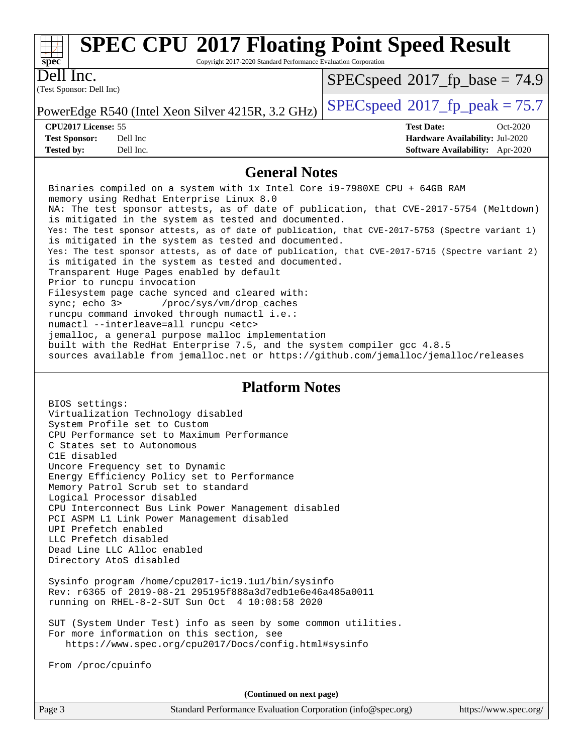| u<br>E<br>Ш<br>Ľ<br>c |  |  |  |  |  |
|-----------------------|--|--|--|--|--|

Copyright 2017-2020 Standard Performance Evaluation Corporation

(Test Sponsor: Dell Inc) Dell Inc.

 $SPECspeed*2017_fp\_base = 74.9$  $SPECspeed*2017_fp\_base = 74.9$ 

**[Tested by:](http://www.spec.org/auto/cpu2017/Docs/result-fields.html#Testedby)** Dell Inc. **[Software Availability:](http://www.spec.org/auto/cpu2017/Docs/result-fields.html#SoftwareAvailability)** Apr-2020

PowerEdge R540 (Intel Xeon Silver 4215R, 3.2 GHz)  $\left|$  [SPECspeed](http://www.spec.org/auto/cpu2017/Docs/result-fields.html#SPECspeed2017fppeak)<sup>®</sup>[2017\\_fp\\_peak = 7](http://www.spec.org/auto/cpu2017/Docs/result-fields.html#SPECspeed2017fppeak)5.7

**[CPU2017 License:](http://www.spec.org/auto/cpu2017/Docs/result-fields.html#CPU2017License)** 55 **[Test Date:](http://www.spec.org/auto/cpu2017/Docs/result-fields.html#TestDate)** Oct-2020 **[Test Sponsor:](http://www.spec.org/auto/cpu2017/Docs/result-fields.html#TestSponsor)** Dell Inc **[Hardware Availability:](http://www.spec.org/auto/cpu2017/Docs/result-fields.html#HardwareAvailability)** Jul-2020

#### **[General Notes](http://www.spec.org/auto/cpu2017/Docs/result-fields.html#GeneralNotes)**

 Binaries compiled on a system with 1x Intel Core i9-7980XE CPU + 64GB RAM memory using Redhat Enterprise Linux 8.0 NA: The test sponsor attests, as of date of publication, that CVE-2017-5754 (Meltdown) is mitigated in the system as tested and documented. Yes: The test sponsor attests, as of date of publication, that CVE-2017-5753 (Spectre variant 1) is mitigated in the system as tested and documented. Yes: The test sponsor attests, as of date of publication, that CVE-2017-5715 (Spectre variant 2) is mitigated in the system as tested and documented. Transparent Huge Pages enabled by default Prior to runcpu invocation Filesystem page cache synced and cleared with: sync; echo 3> /proc/sys/vm/drop\_caches runcpu command invoked through numactl i.e.: numactl --interleave=all runcpu <etc> jemalloc, a general purpose malloc implementation built with the RedHat Enterprise 7.5, and the system compiler gcc 4.8.5 sources available from jemalloc.net or<https://github.com/jemalloc/jemalloc/releases> **[Platform Notes](http://www.spec.org/auto/cpu2017/Docs/result-fields.html#PlatformNotes)** BIOS settings: Virtualization Technology disabled System Profile set to Custom

 CPU Performance set to Maximum Performance C States set to Autonomous C1E disabled Uncore Frequency set to Dynamic Energy Efficiency Policy set to Performance Memory Patrol Scrub set to standard Logical Processor disabled CPU Interconnect Bus Link Power Management disabled PCI ASPM L1 Link Power Management disabled UPI Prefetch enabled LLC Prefetch disabled Dead Line LLC Alloc enabled Directory AtoS disabled

 Sysinfo program /home/cpu2017-ic19.1u1/bin/sysinfo Rev: r6365 of 2019-08-21 295195f888a3d7edb1e6e46a485a0011 running on RHEL-8-2-SUT Sun Oct 4 10:08:58 2020

 SUT (System Under Test) info as seen by some common utilities. For more information on this section, see <https://www.spec.org/cpu2017/Docs/config.html#sysinfo>

From /proc/cpuinfo

**(Continued on next page)**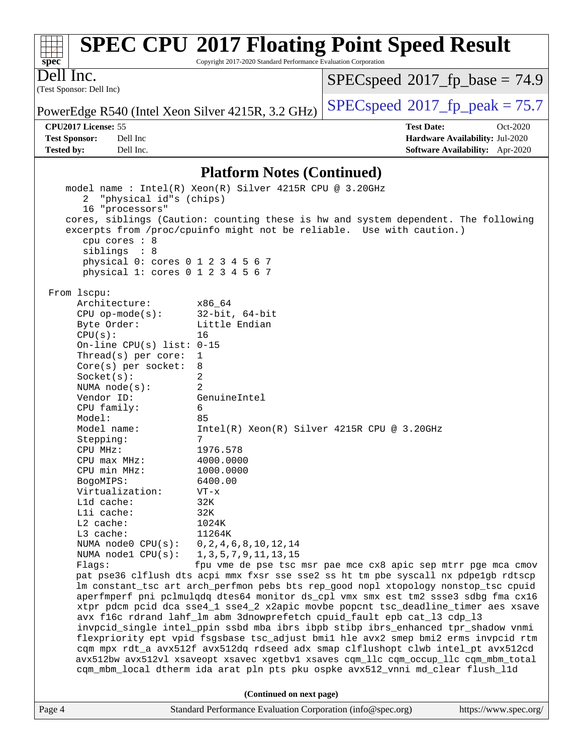#### **[spec](http://www.spec.org/) [SPEC CPU](http://www.spec.org/auto/cpu2017/Docs/result-fields.html#SPECCPU2017FloatingPointSpeedResult)[2017 Floating Point Speed Result](http://www.spec.org/auto/cpu2017/Docs/result-fields.html#SPECCPU2017FloatingPointSpeedResult)** Copyright 2017-2020 Standard Performance Evaluation Corporation Dell Inc.  $SPECspeed*2017_fp\_base = 74.9$  $SPECspeed*2017_fp\_base = 74.9$

(Test Sponsor: Dell Inc)

PowerEdge R540 (Intel Xeon Silver 4215R, 3.2 GHz)  $\left|$  [SPECspeed](http://www.spec.org/auto/cpu2017/Docs/result-fields.html#SPECspeed2017fppeak)<sup>®</sup>[2017\\_fp\\_peak = 7](http://www.spec.org/auto/cpu2017/Docs/result-fields.html#SPECspeed2017fppeak)5.7

**[Tested by:](http://www.spec.org/auto/cpu2017/Docs/result-fields.html#Testedby)** Dell Inc. **[Software Availability:](http://www.spec.org/auto/cpu2017/Docs/result-fields.html#SoftwareAvailability)** Apr-2020

**[CPU2017 License:](http://www.spec.org/auto/cpu2017/Docs/result-fields.html#CPU2017License)** 55 **[Test Date:](http://www.spec.org/auto/cpu2017/Docs/result-fields.html#TestDate)** Oct-2020 **[Test Sponsor:](http://www.spec.org/auto/cpu2017/Docs/result-fields.html#TestSponsor)** Dell Inc **[Hardware Availability:](http://www.spec.org/auto/cpu2017/Docs/result-fields.html#HardwareAvailability)** Jul-2020

#### **[Platform Notes \(Continued\)](http://www.spec.org/auto/cpu2017/Docs/result-fields.html#PlatformNotes)**

|                                                                                                                                                                           | 2 "physical id"s (chips)              | model name: $Intel(R)$ Xeon $(R)$ Silver 4215R CPU @ 3.20GHz                         |  |  |  |
|---------------------------------------------------------------------------------------------------------------------------------------------------------------------------|---------------------------------------|--------------------------------------------------------------------------------------|--|--|--|
|                                                                                                                                                                           | 16 "processors"                       |                                                                                      |  |  |  |
|                                                                                                                                                                           |                                       | cores, siblings (Caution: counting these is hw and system dependent. The following   |  |  |  |
|                                                                                                                                                                           |                                       | excerpts from /proc/cpuinfo might not be reliable. Use with caution.)                |  |  |  |
|                                                                                                                                                                           | cpu cores : 8                         |                                                                                      |  |  |  |
|                                                                                                                                                                           | siblings : 8                          |                                                                                      |  |  |  |
|                                                                                                                                                                           | physical 0: cores 0 1 2 3 4 5 6 7     |                                                                                      |  |  |  |
|                                                                                                                                                                           | physical 1: cores 0 1 2 3 4 5 6 7     |                                                                                      |  |  |  |
|                                                                                                                                                                           |                                       |                                                                                      |  |  |  |
|                                                                                                                                                                           | From 1scpu:                           |                                                                                      |  |  |  |
|                                                                                                                                                                           | Architecture:                         | x86_64                                                                               |  |  |  |
|                                                                                                                                                                           | $CPU$ op-mode(s):                     | 32-bit, 64-bit                                                                       |  |  |  |
|                                                                                                                                                                           | Byte Order:                           | Little Endian                                                                        |  |  |  |
|                                                                                                                                                                           | CPU(s):                               | 16                                                                                   |  |  |  |
|                                                                                                                                                                           | On-line CPU(s) list: $0-15$           |                                                                                      |  |  |  |
|                                                                                                                                                                           | Thread(s) per core:                   | 1                                                                                    |  |  |  |
|                                                                                                                                                                           | $Core(s)$ per socket:                 | 8                                                                                    |  |  |  |
|                                                                                                                                                                           | Socket(s):                            | 2                                                                                    |  |  |  |
|                                                                                                                                                                           | NUMA $node(s):$                       | $\overline{a}$                                                                       |  |  |  |
|                                                                                                                                                                           | Vendor ID:                            | GenuineIntel                                                                         |  |  |  |
|                                                                                                                                                                           | CPU family:                           | 6                                                                                    |  |  |  |
|                                                                                                                                                                           | Model:                                | 85                                                                                   |  |  |  |
|                                                                                                                                                                           | Model name:                           | $Intel(R) Xeon(R) Silver 4215R CPU @ 3.20GHz$                                        |  |  |  |
|                                                                                                                                                                           | Stepping:                             | 7                                                                                    |  |  |  |
|                                                                                                                                                                           | CPU MHz:                              | 1976.578                                                                             |  |  |  |
|                                                                                                                                                                           | $CPU$ max $MHz$ :                     | 4000.0000                                                                            |  |  |  |
|                                                                                                                                                                           | CPU min MHz:                          | 1000.0000                                                                            |  |  |  |
|                                                                                                                                                                           | BogoMIPS:                             | 6400.00                                                                              |  |  |  |
|                                                                                                                                                                           | Virtualization:                       | $VT - x$                                                                             |  |  |  |
|                                                                                                                                                                           | L1d cache:                            | 32K                                                                                  |  |  |  |
|                                                                                                                                                                           | Lli cache:                            | 32K                                                                                  |  |  |  |
|                                                                                                                                                                           | $L2$ cache:                           | 1024K                                                                                |  |  |  |
|                                                                                                                                                                           | L3 cache:                             | 11264K                                                                               |  |  |  |
|                                                                                                                                                                           | NUMA node0 CPU(s): 0,2,4,6,8,10,12,14 |                                                                                      |  |  |  |
|                                                                                                                                                                           | NUMA $node1$ $CPU(s):$                | 1, 3, 5, 7, 9, 11, 13, 15                                                            |  |  |  |
|                                                                                                                                                                           | Flaqs:                                | fpu vme de pse tsc msr pae mce cx8 apic sep mtrr pge mca cmov                        |  |  |  |
|                                                                                                                                                                           |                                       | pat pse36 clflush dts acpi mmx fxsr sse sse2 ss ht tm pbe syscall nx pdpelgb rdtscp  |  |  |  |
| lm constant_tsc art arch_perfmon pebs bts rep_good nopl xtopology nonstop_tsc cpuid<br>aperfmperf pni pclmulqdq dtes64 monitor ds_cpl vmx smx est tm2 ssse3 sdbg fma cx16 |                                       |                                                                                      |  |  |  |
|                                                                                                                                                                           |                                       |                                                                                      |  |  |  |
|                                                                                                                                                                           |                                       | avx f16c rdrand lahf_lm abm 3dnowprefetch cpuid_fault epb cat_13 cdp_13              |  |  |  |
|                                                                                                                                                                           |                                       | invpcid_single intel_ppin ssbd mba ibrs ibpb stibp ibrs_enhanced tpr_shadow vnmi     |  |  |  |
|                                                                                                                                                                           |                                       | flexpriority ept vpid fsgsbase tsc_adjust bmil hle avx2 smep bmi2 erms invpcid rtm   |  |  |  |
|                                                                                                                                                                           |                                       | cqm mpx rdt_a avx512f avx512dq rdseed adx smap clflushopt clwb intel_pt avx512cd     |  |  |  |
|                                                                                                                                                                           |                                       | avx512bw avx512vl xsaveopt xsavec xgetbv1 xsaves cqm_llc cqm_occup_llc cqm_mbm_total |  |  |  |
|                                                                                                                                                                           |                                       | cqm_mbm_local dtherm ida arat pln pts pku ospke avx512_vnni md_clear flush_l1d       |  |  |  |
|                                                                                                                                                                           |                                       |                                                                                      |  |  |  |
|                                                                                                                                                                           |                                       | (Continued on next page)                                                             |  |  |  |
| Page 4                                                                                                                                                                    |                                       | Standard Performance Evaluation Corporation (info@spec.org)<br>https://www.spec.org/ |  |  |  |
|                                                                                                                                                                           |                                       |                                                                                      |  |  |  |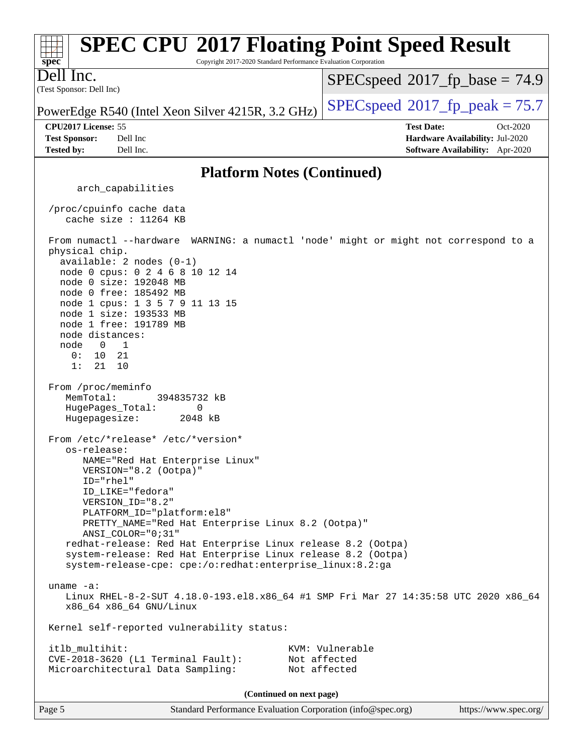#### **[spec](http://www.spec.org/) [SPEC CPU](http://www.spec.org/auto/cpu2017/Docs/result-fields.html#SPECCPU2017FloatingPointSpeedResult)[2017 Floating Point Speed Result](http://www.spec.org/auto/cpu2017/Docs/result-fields.html#SPECCPU2017FloatingPointSpeedResult)** Copyright 2017-2020 Standard Performance Evaluation Corporation (Test Sponsor: Dell Inc) Dell Inc. PowerEdge R540 (Intel Xeon Silver 4215R, 3.2 GHz)  $\left|$  [SPECspeed](http://www.spec.org/auto/cpu2017/Docs/result-fields.html#SPECspeed2017fppeak)<sup>®</sup>[2017\\_fp\\_peak = 7](http://www.spec.org/auto/cpu2017/Docs/result-fields.html#SPECspeed2017fppeak)5.7  $SPECspeed*2017_fp\_base = 74.9$  $SPECspeed*2017_fp\_base = 74.9$ **[CPU2017 License:](http://www.spec.org/auto/cpu2017/Docs/result-fields.html#CPU2017License)** 55 **[Test Date:](http://www.spec.org/auto/cpu2017/Docs/result-fields.html#TestDate)** Oct-2020 **[Test Sponsor:](http://www.spec.org/auto/cpu2017/Docs/result-fields.html#TestSponsor)** Dell Inc **[Hardware Availability:](http://www.spec.org/auto/cpu2017/Docs/result-fields.html#HardwareAvailability)** Jul-2020 **[Tested by:](http://www.spec.org/auto/cpu2017/Docs/result-fields.html#Testedby)** Dell Inc. **[Software Availability:](http://www.spec.org/auto/cpu2017/Docs/result-fields.html#SoftwareAvailability)** Apr-2020 **[Platform Notes \(Continued\)](http://www.spec.org/auto/cpu2017/Docs/result-fields.html#PlatformNotes)** arch\_capabilities /proc/cpuinfo cache data cache size : 11264 KB From numactl --hardware WARNING: a numactl 'node' might or might not correspond to a physical chip. available: 2 nodes (0-1) node 0 cpus: 0 2 4 6 8 10 12 14 node 0 size: 192048 MB node 0 free: 185492 MB node 1 cpus: 1 3 5 7 9 11 13 15 node 1 size: 193533 MB node 1 free: 191789 MB node distances: node 0 1 0: 10 21 1: 21 10 From /proc/meminfo MemTotal: 394835732 kB HugePages\_Total: 0 Hugepagesize: 2048 kB From /etc/\*release\* /etc/\*version\* os-release: NAME="Red Hat Enterprise Linux" VERSION="8.2 (Ootpa)" ID="rhel" ID\_LIKE="fedora" VERSION\_ID="8.2" PLATFORM\_ID="platform:el8" PRETTY\_NAME="Red Hat Enterprise Linux 8.2 (Ootpa)" ANSI\_COLOR="0;31" redhat-release: Red Hat Enterprise Linux release 8.2 (Ootpa) system-release: Red Hat Enterprise Linux release 8.2 (Ootpa) system-release-cpe: cpe:/o:redhat:enterprise\_linux:8.2:ga uname -a: Linux RHEL-8-2-SUT 4.18.0-193.el8.x86\_64 #1 SMP Fri Mar 27 14:35:58 UTC 2020 x86\_64 x86\_64 x86\_64 GNU/Linux Kernel self-reported vulnerability status: itlb\_multihit: KVM: Vulnerable CVE-2018-3620 (L1 Terminal Fault): Not affected Microarchitectural Data Sampling: Not affected **(Continued on next page)**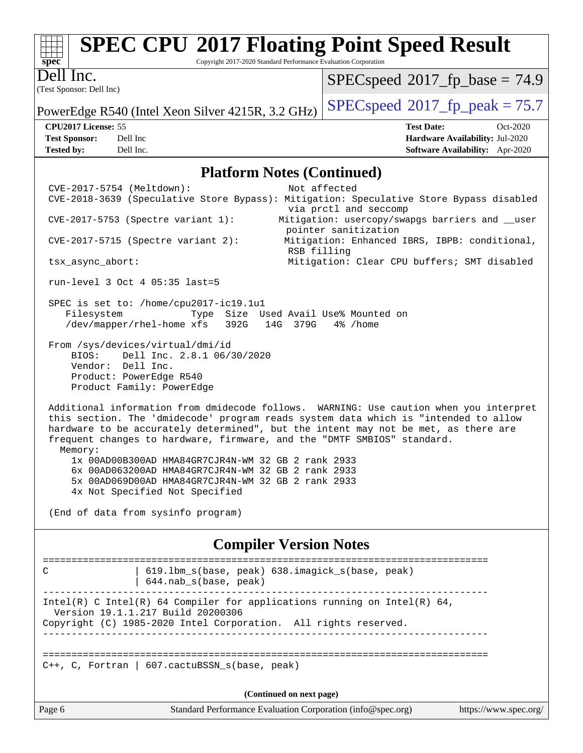| c<br>L<br>E<br>L |  |  |  |  |  |
|------------------|--|--|--|--|--|

Copyright 2017-2020 Standard Performance Evaluation Corporation

(Test Sponsor: Dell Inc) Dell Inc.

 $SPECspeed*2017_fp\_base = 74.9$  $SPECspeed*2017_fp\_base = 74.9$ 

PowerEdge R540 (Intel Xeon Silver 4215R, 3.2 GHz)  $\left|$  [SPECspeed](http://www.spec.org/auto/cpu2017/Docs/result-fields.html#SPECspeed2017fppeak)®[2017\\_fp\\_peak = 7](http://www.spec.org/auto/cpu2017/Docs/result-fields.html#SPECspeed2017fppeak)5.7

**[Tested by:](http://www.spec.org/auto/cpu2017/Docs/result-fields.html#Testedby)** Dell Inc. **[Software Availability:](http://www.spec.org/auto/cpu2017/Docs/result-fields.html#SoftwareAvailability)** Apr-2020

**[CPU2017 License:](http://www.spec.org/auto/cpu2017/Docs/result-fields.html#CPU2017License)** 55 **[Test Date:](http://www.spec.org/auto/cpu2017/Docs/result-fields.html#TestDate)** Oct-2020 **[Test Sponsor:](http://www.spec.org/auto/cpu2017/Docs/result-fields.html#TestSponsor)** Dell Inc **[Hardware Availability:](http://www.spec.org/auto/cpu2017/Docs/result-fields.html#HardwareAvailability)** Jul-2020

#### **[Platform Notes \(Continued\)](http://www.spec.org/auto/cpu2017/Docs/result-fields.html#PlatformNotes)**

 CVE-2017-5754 (Meltdown): Not affected CVE-2018-3639 (Speculative Store Bypass): Mitigation: Speculative Store Bypass disabled via prctl and seccomp CVE-2017-5753 (Spectre variant 1): Mitigation: usercopy/swapgs barriers and \_\_user pointer sanitization CVE-2017-5715 (Spectre variant 2): Mitigation: Enhanced IBRS, IBPB: conditional, RSB filling tsx\_async\_abort: Mitigation: Clear CPU buffers; SMT disabled run-level 3 Oct 4 05:35 last=5 SPEC is set to: /home/cpu2017-ic19.1u1 Filesystem Type Size Used Avail Use% Mounted on /dev/mapper/rhel-home xfs 392G 14G 379G 4% /home From /sys/devices/virtual/dmi/id BIOS: Dell Inc. 2.8.1 06/30/2020 Vendor: Dell Inc. Product: PowerEdge R540 Product Family: PowerEdge Additional information from dmidecode follows. WARNING: Use caution when you interpret this section. The 'dmidecode' program reads system data which is "intended to allow hardware to be accurately determined", but the intent may not be met, as there are frequent changes to hardware, firmware, and the "DMTF SMBIOS" standard. Memory: 1x 00AD00B300AD HMA84GR7CJR4N-WM 32 GB 2 rank 2933 6x 00AD063200AD HMA84GR7CJR4N-WM 32 GB 2 rank 2933 5x 00AD069D00AD HMA84GR7CJR4N-WM 32 GB 2 rank 2933 4x Not Specified Not Specified (End of data from sysinfo program) **[Compiler Version Notes](http://www.spec.org/auto/cpu2017/Docs/result-fields.html#CompilerVersionNotes)** ============================================================================== C 19.1bm s(base, peak) 638.imagick s(base, peak) | 644.nab\_s(base, peak)

------------------------------------------------------------------------------ Intel(R) C Intel(R) 64 Compiler for applications running on Intel(R)  $64$ ,

Version 19.1.1.217 Build 20200306

Copyright (C) 1985-2020 Intel Corporation. All rights reserved. ------------------------------------------------------------------------------

==============================================================================

 $C_{++}$ , C, Fortran | 607.cactuBSSN s(base, peak)

**(Continued on next page)**

Page 6 Standard Performance Evaluation Corporation [\(info@spec.org\)](mailto:info@spec.org) <https://www.spec.org/>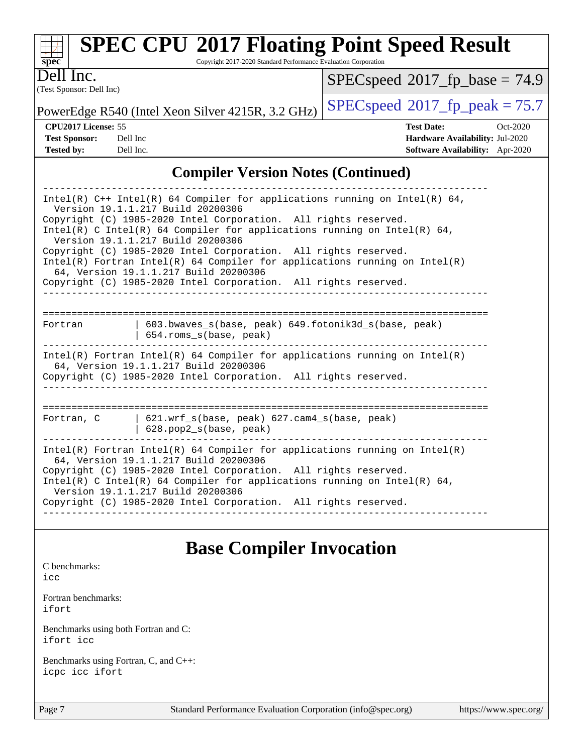| SPEC CPU®2017 Floating Point Speed Result                                                                                                                                                                                         |
|-----------------------------------------------------------------------------------------------------------------------------------------------------------------------------------------------------------------------------------|
| $\alpha$ is a constant of the construction of the constant of the construction of the construction of the construction of the construction of the construction of the construction of the construction of the construction of the |

Copyright 2017-2020 Standard Performance Evaluation Corporation

(Test Sponsor: Dell Inc) Dell Inc.

**[spec](http://www.spec.org/)**

 $SPECspeed*2017_fp\_base = 74.9$  $SPECspeed*2017_fp\_base = 74.9$ 

PowerEdge R540 (Intel Xeon Silver 4215R, 3.2 GHz)  $\left|$  [SPECspeed](http://www.spec.org/auto/cpu2017/Docs/result-fields.html#SPECspeed2017fppeak)<sup>®</sup>[2017\\_fp\\_peak = 7](http://www.spec.org/auto/cpu2017/Docs/result-fields.html#SPECspeed2017fppeak)5.7

**[CPU2017 License:](http://www.spec.org/auto/cpu2017/Docs/result-fields.html#CPU2017License)** 55 **[Test Date:](http://www.spec.org/auto/cpu2017/Docs/result-fields.html#TestDate)** Oct-2020 **[Test Sponsor:](http://www.spec.org/auto/cpu2017/Docs/result-fields.html#TestSponsor)** Dell Inc **[Hardware Availability:](http://www.spec.org/auto/cpu2017/Docs/result-fields.html#HardwareAvailability)** Jul-2020 **[Tested by:](http://www.spec.org/auto/cpu2017/Docs/result-fields.html#Testedby)** Dell Inc. **[Software Availability:](http://www.spec.org/auto/cpu2017/Docs/result-fields.html#SoftwareAvailability)** Apr-2020

#### **[Compiler Version Notes \(Continued\)](http://www.spec.org/auto/cpu2017/Docs/result-fields.html#CompilerVersionNotes)**

| Intel(R) $C++$ Intel(R) 64 Compiler for applications running on Intel(R) 64,<br>Version 19.1.1.217 Build 20200306                           |  |  |  |  |  |  |
|---------------------------------------------------------------------------------------------------------------------------------------------|--|--|--|--|--|--|
| Copyright (C) 1985-2020 Intel Corporation. All rights reserved.                                                                             |  |  |  |  |  |  |
| Intel(R) C Intel(R) 64 Compiler for applications running on Intel(R) 64,<br>Version 19.1.1.217 Build 20200306                               |  |  |  |  |  |  |
| Copyright (C) 1985-2020 Intel Corporation. All rights reserved.                                                                             |  |  |  |  |  |  |
| $Intel(R)$ Fortran Intel(R) 64 Compiler for applications running on Intel(R)<br>64, Version 19.1.1.217 Build 20200306                       |  |  |  |  |  |  |
| Copyright (C) 1985-2020 Intel Corporation. All rights reserved.                                                                             |  |  |  |  |  |  |
|                                                                                                                                             |  |  |  |  |  |  |
| 603.bwaves_s(base, peak) 649.fotonik3d_s(base, peak)<br>Fortran<br>$654.rows_s(base, peak)$                                                 |  |  |  |  |  |  |
| Intel(R) Fortran Intel(R) 64 Compiler for applications running on Intel(R)<br>64, Version 19.1.1.217 Build 20200306                         |  |  |  |  |  |  |
| Copyright (C) 1985-2020 Intel Corporation. All rights reserved.                                                                             |  |  |  |  |  |  |
|                                                                                                                                             |  |  |  |  |  |  |
| 621.wrf s(base, peak) 627.cam4 s(base, peak)<br>Fortran, C<br>$628.$ pop $2 s(base, peak)$                                                  |  |  |  |  |  |  |
| Intel(R) Fortran Intel(R) 64 Compiler for applications running on Intel(R)<br>64, Version 19.1.1.217 Build 20200306                         |  |  |  |  |  |  |
| Copyright (C) 1985-2020 Intel Corporation. All rights reserved.<br>Intel(R) C Intel(R) 64 Compiler for applications running on Intel(R) 64, |  |  |  |  |  |  |
| Version 19.1.1.217 Build 20200306<br>Copyright (C) 1985-2020 Intel Corporation. All rights reserved.                                        |  |  |  |  |  |  |

### **[Base Compiler Invocation](http://www.spec.org/auto/cpu2017/Docs/result-fields.html#BaseCompilerInvocation)**

[C benchmarks](http://www.spec.org/auto/cpu2017/Docs/result-fields.html#Cbenchmarks): [icc](http://www.spec.org/cpu2017/results/res2020q4/cpu2017-20201020-24226.flags.html#user_CCbase_intel_icc_66fc1ee009f7361af1fbd72ca7dcefbb700085f36577c54f309893dd4ec40d12360134090235512931783d35fd58c0460139e722d5067c5574d8eaf2b3e37e92)

[Fortran benchmarks](http://www.spec.org/auto/cpu2017/Docs/result-fields.html#Fortranbenchmarks): [ifort](http://www.spec.org/cpu2017/results/res2020q4/cpu2017-20201020-24226.flags.html#user_FCbase_intel_ifort_8111460550e3ca792625aed983ce982f94888b8b503583aa7ba2b8303487b4d8a21a13e7191a45c5fd58ff318f48f9492884d4413fa793fd88dd292cad7027ca)

[Benchmarks using both Fortran and C](http://www.spec.org/auto/cpu2017/Docs/result-fields.html#BenchmarksusingbothFortranandC): [ifort](http://www.spec.org/cpu2017/results/res2020q4/cpu2017-20201020-24226.flags.html#user_CC_FCbase_intel_ifort_8111460550e3ca792625aed983ce982f94888b8b503583aa7ba2b8303487b4d8a21a13e7191a45c5fd58ff318f48f9492884d4413fa793fd88dd292cad7027ca) [icc](http://www.spec.org/cpu2017/results/res2020q4/cpu2017-20201020-24226.flags.html#user_CC_FCbase_intel_icc_66fc1ee009f7361af1fbd72ca7dcefbb700085f36577c54f309893dd4ec40d12360134090235512931783d35fd58c0460139e722d5067c5574d8eaf2b3e37e92)

[Benchmarks using Fortran, C, and C++:](http://www.spec.org/auto/cpu2017/Docs/result-fields.html#BenchmarksusingFortranCandCXX) [icpc](http://www.spec.org/cpu2017/results/res2020q4/cpu2017-20201020-24226.flags.html#user_CC_CXX_FCbase_intel_icpc_c510b6838c7f56d33e37e94d029a35b4a7bccf4766a728ee175e80a419847e808290a9b78be685c44ab727ea267ec2f070ec5dc83b407c0218cded6866a35d07) [icc](http://www.spec.org/cpu2017/results/res2020q4/cpu2017-20201020-24226.flags.html#user_CC_CXX_FCbase_intel_icc_66fc1ee009f7361af1fbd72ca7dcefbb700085f36577c54f309893dd4ec40d12360134090235512931783d35fd58c0460139e722d5067c5574d8eaf2b3e37e92) [ifort](http://www.spec.org/cpu2017/results/res2020q4/cpu2017-20201020-24226.flags.html#user_CC_CXX_FCbase_intel_ifort_8111460550e3ca792625aed983ce982f94888b8b503583aa7ba2b8303487b4d8a21a13e7191a45c5fd58ff318f48f9492884d4413fa793fd88dd292cad7027ca)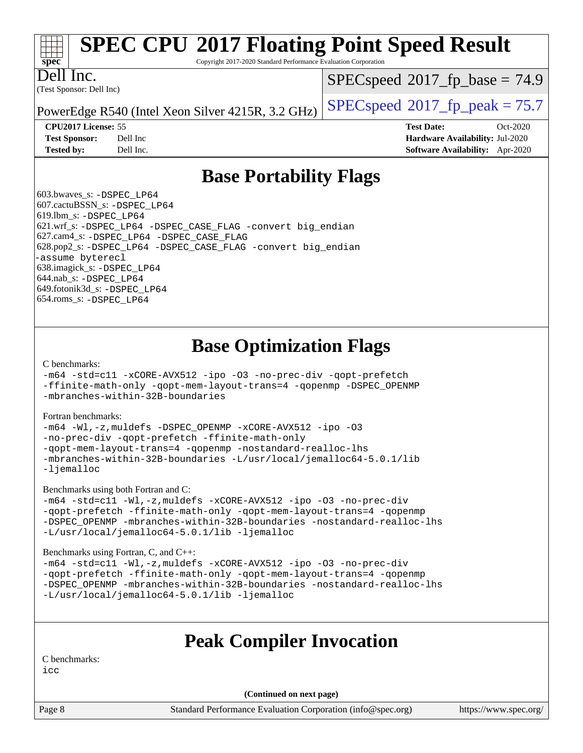

Copyright 2017-2020 Standard Performance Evaluation Corporation

Dell Inc.

(Test Sponsor: Dell Inc)

 $SPECspeed^{\circ}2017\_fp\_base = 74.9$  $SPECspeed^{\circ}2017\_fp\_base = 74.9$ 

PowerEdge R540 (Intel Xeon Silver 4215R, 3.2 GHz)  $\left|$  [SPECspeed](http://www.spec.org/auto/cpu2017/Docs/result-fields.html#SPECspeed2017fppeak)<sup>®</sup>[2017\\_fp\\_peak = 7](http://www.spec.org/auto/cpu2017/Docs/result-fields.html#SPECspeed2017fppeak)5.7

**[CPU2017 License:](http://www.spec.org/auto/cpu2017/Docs/result-fields.html#CPU2017License)** 55 **[Test Date:](http://www.spec.org/auto/cpu2017/Docs/result-fields.html#TestDate)** Oct-2020 **[Test Sponsor:](http://www.spec.org/auto/cpu2017/Docs/result-fields.html#TestSponsor)** Dell Inc **[Hardware Availability:](http://www.spec.org/auto/cpu2017/Docs/result-fields.html#HardwareAvailability)** Jul-2020 **[Tested by:](http://www.spec.org/auto/cpu2017/Docs/result-fields.html#Testedby)** Dell Inc. **[Software Availability:](http://www.spec.org/auto/cpu2017/Docs/result-fields.html#SoftwareAvailability)** Apr-2020

### **[Base Portability Flags](http://www.spec.org/auto/cpu2017/Docs/result-fields.html#BasePortabilityFlags)**

 603.bwaves\_s: [-DSPEC\\_LP64](http://www.spec.org/cpu2017/results/res2020q4/cpu2017-20201020-24226.flags.html#suite_basePORTABILITY603_bwaves_s_DSPEC_LP64) 607.cactuBSSN\_s: [-DSPEC\\_LP64](http://www.spec.org/cpu2017/results/res2020q4/cpu2017-20201020-24226.flags.html#suite_basePORTABILITY607_cactuBSSN_s_DSPEC_LP64) 619.lbm\_s: [-DSPEC\\_LP64](http://www.spec.org/cpu2017/results/res2020q4/cpu2017-20201020-24226.flags.html#suite_basePORTABILITY619_lbm_s_DSPEC_LP64) 621.wrf\_s: [-DSPEC\\_LP64](http://www.spec.org/cpu2017/results/res2020q4/cpu2017-20201020-24226.flags.html#suite_basePORTABILITY621_wrf_s_DSPEC_LP64) [-DSPEC\\_CASE\\_FLAG](http://www.spec.org/cpu2017/results/res2020q4/cpu2017-20201020-24226.flags.html#b621.wrf_s_baseCPORTABILITY_DSPEC_CASE_FLAG) [-convert big\\_endian](http://www.spec.org/cpu2017/results/res2020q4/cpu2017-20201020-24226.flags.html#user_baseFPORTABILITY621_wrf_s_convert_big_endian_c3194028bc08c63ac5d04de18c48ce6d347e4e562e8892b8bdbdc0214820426deb8554edfa529a3fb25a586e65a3d812c835984020483e7e73212c4d31a38223) 627.cam4\_s: [-DSPEC\\_LP64](http://www.spec.org/cpu2017/results/res2020q4/cpu2017-20201020-24226.flags.html#suite_basePORTABILITY627_cam4_s_DSPEC_LP64) [-DSPEC\\_CASE\\_FLAG](http://www.spec.org/cpu2017/results/res2020q4/cpu2017-20201020-24226.flags.html#b627.cam4_s_baseCPORTABILITY_DSPEC_CASE_FLAG) 628.pop2\_s: [-DSPEC\\_LP64](http://www.spec.org/cpu2017/results/res2020q4/cpu2017-20201020-24226.flags.html#suite_basePORTABILITY628_pop2_s_DSPEC_LP64) [-DSPEC\\_CASE\\_FLAG](http://www.spec.org/cpu2017/results/res2020q4/cpu2017-20201020-24226.flags.html#b628.pop2_s_baseCPORTABILITY_DSPEC_CASE_FLAG) [-convert big\\_endian](http://www.spec.org/cpu2017/results/res2020q4/cpu2017-20201020-24226.flags.html#user_baseFPORTABILITY628_pop2_s_convert_big_endian_c3194028bc08c63ac5d04de18c48ce6d347e4e562e8892b8bdbdc0214820426deb8554edfa529a3fb25a586e65a3d812c835984020483e7e73212c4d31a38223) [-assume byterecl](http://www.spec.org/cpu2017/results/res2020q4/cpu2017-20201020-24226.flags.html#user_baseFPORTABILITY628_pop2_s_assume_byterecl_7e47d18b9513cf18525430bbf0f2177aa9bf368bc7a059c09b2c06a34b53bd3447c950d3f8d6c70e3faf3a05c8557d66a5798b567902e8849adc142926523472) 638.imagick\_s: [-DSPEC\\_LP64](http://www.spec.org/cpu2017/results/res2020q4/cpu2017-20201020-24226.flags.html#suite_basePORTABILITY638_imagick_s_DSPEC_LP64) 644.nab\_s: [-DSPEC\\_LP64](http://www.spec.org/cpu2017/results/res2020q4/cpu2017-20201020-24226.flags.html#suite_basePORTABILITY644_nab_s_DSPEC_LP64) 649.fotonik3d\_s: [-DSPEC\\_LP64](http://www.spec.org/cpu2017/results/res2020q4/cpu2017-20201020-24226.flags.html#suite_basePORTABILITY649_fotonik3d_s_DSPEC_LP64) 654.roms\_s: [-DSPEC\\_LP64](http://www.spec.org/cpu2017/results/res2020q4/cpu2017-20201020-24226.flags.html#suite_basePORTABILITY654_roms_s_DSPEC_LP64)

# **[Base Optimization Flags](http://www.spec.org/auto/cpu2017/Docs/result-fields.html#BaseOptimizationFlags)**

[C benchmarks](http://www.spec.org/auto/cpu2017/Docs/result-fields.html#Cbenchmarks):

[-m64](http://www.spec.org/cpu2017/results/res2020q4/cpu2017-20201020-24226.flags.html#user_CCbase_m64-icc) [-std=c11](http://www.spec.org/cpu2017/results/res2020q4/cpu2017-20201020-24226.flags.html#user_CCbase_std-icc-std_0e1c27790398a4642dfca32ffe6c27b5796f9c2d2676156f2e42c9c44eaad0c049b1cdb667a270c34d979996257aeb8fc440bfb01818dbc9357bd9d174cb8524) [-xCORE-AVX512](http://www.spec.org/cpu2017/results/res2020q4/cpu2017-20201020-24226.flags.html#user_CCbase_f-xCORE-AVX512) [-ipo](http://www.spec.org/cpu2017/results/res2020q4/cpu2017-20201020-24226.flags.html#user_CCbase_f-ipo) [-O3](http://www.spec.org/cpu2017/results/res2020q4/cpu2017-20201020-24226.flags.html#user_CCbase_f-O3) [-no-prec-div](http://www.spec.org/cpu2017/results/res2020q4/cpu2017-20201020-24226.flags.html#user_CCbase_f-no-prec-div) [-qopt-prefetch](http://www.spec.org/cpu2017/results/res2020q4/cpu2017-20201020-24226.flags.html#user_CCbase_f-qopt-prefetch) [-ffinite-math-only](http://www.spec.org/cpu2017/results/res2020q4/cpu2017-20201020-24226.flags.html#user_CCbase_f_finite_math_only_cb91587bd2077682c4b38af759c288ed7c732db004271a9512da14a4f8007909a5f1427ecbf1a0fb78ff2a814402c6114ac565ca162485bbcae155b5e4258871) [-qopt-mem-layout-trans=4](http://www.spec.org/cpu2017/results/res2020q4/cpu2017-20201020-24226.flags.html#user_CCbase_f-qopt-mem-layout-trans_fa39e755916c150a61361b7846f310bcdf6f04e385ef281cadf3647acec3f0ae266d1a1d22d972a7087a248fd4e6ca390a3634700869573d231a252c784941a8) [-qopenmp](http://www.spec.org/cpu2017/results/res2020q4/cpu2017-20201020-24226.flags.html#user_CCbase_qopenmp_16be0c44f24f464004c6784a7acb94aca937f053568ce72f94b139a11c7c168634a55f6653758ddd83bcf7b8463e8028bb0b48b77bcddc6b78d5d95bb1df2967) [-DSPEC\\_OPENMP](http://www.spec.org/cpu2017/results/res2020q4/cpu2017-20201020-24226.flags.html#suite_CCbase_DSPEC_OPENMP) [-mbranches-within-32B-boundaries](http://www.spec.org/cpu2017/results/res2020q4/cpu2017-20201020-24226.flags.html#user_CCbase_f-mbranches-within-32B-boundaries)

[Fortran benchmarks](http://www.spec.org/auto/cpu2017/Docs/result-fields.html#Fortranbenchmarks):

[-m64](http://www.spec.org/cpu2017/results/res2020q4/cpu2017-20201020-24226.flags.html#user_FCbase_m64-icc) [-Wl,-z,muldefs](http://www.spec.org/cpu2017/results/res2020q4/cpu2017-20201020-24226.flags.html#user_FCbase_link_force_multiple1_b4cbdb97b34bdee9ceefcfe54f4c8ea74255f0b02a4b23e853cdb0e18eb4525ac79b5a88067c842dd0ee6996c24547a27a4b99331201badda8798ef8a743f577) [-DSPEC\\_OPENMP](http://www.spec.org/cpu2017/results/res2020q4/cpu2017-20201020-24226.flags.html#suite_FCbase_DSPEC_OPENMP) [-xCORE-AVX512](http://www.spec.org/cpu2017/results/res2020q4/cpu2017-20201020-24226.flags.html#user_FCbase_f-xCORE-AVX512) [-ipo](http://www.spec.org/cpu2017/results/res2020q4/cpu2017-20201020-24226.flags.html#user_FCbase_f-ipo) [-O3](http://www.spec.org/cpu2017/results/res2020q4/cpu2017-20201020-24226.flags.html#user_FCbase_f-O3) [-no-prec-div](http://www.spec.org/cpu2017/results/res2020q4/cpu2017-20201020-24226.flags.html#user_FCbase_f-no-prec-div) [-qopt-prefetch](http://www.spec.org/cpu2017/results/res2020q4/cpu2017-20201020-24226.flags.html#user_FCbase_f-qopt-prefetch) [-ffinite-math-only](http://www.spec.org/cpu2017/results/res2020q4/cpu2017-20201020-24226.flags.html#user_FCbase_f_finite_math_only_cb91587bd2077682c4b38af759c288ed7c732db004271a9512da14a4f8007909a5f1427ecbf1a0fb78ff2a814402c6114ac565ca162485bbcae155b5e4258871) [-qopt-mem-layout-trans=4](http://www.spec.org/cpu2017/results/res2020q4/cpu2017-20201020-24226.flags.html#user_FCbase_f-qopt-mem-layout-trans_fa39e755916c150a61361b7846f310bcdf6f04e385ef281cadf3647acec3f0ae266d1a1d22d972a7087a248fd4e6ca390a3634700869573d231a252c784941a8) [-qopenmp](http://www.spec.org/cpu2017/results/res2020q4/cpu2017-20201020-24226.flags.html#user_FCbase_qopenmp_16be0c44f24f464004c6784a7acb94aca937f053568ce72f94b139a11c7c168634a55f6653758ddd83bcf7b8463e8028bb0b48b77bcddc6b78d5d95bb1df2967) [-nostandard-realloc-lhs](http://www.spec.org/cpu2017/results/res2020q4/cpu2017-20201020-24226.flags.html#user_FCbase_f_2003_std_realloc_82b4557e90729c0f113870c07e44d33d6f5a304b4f63d4c15d2d0f1fab99f5daaed73bdb9275d9ae411527f28b936061aa8b9c8f2d63842963b95c9dd6426b8a) [-mbranches-within-32B-boundaries](http://www.spec.org/cpu2017/results/res2020q4/cpu2017-20201020-24226.flags.html#user_FCbase_f-mbranches-within-32B-boundaries) [-L/usr/local/jemalloc64-5.0.1/lib](http://www.spec.org/cpu2017/results/res2020q4/cpu2017-20201020-24226.flags.html#user_FCbase_jemalloc_link_path64_1_cc289568b1a6c0fd3b62c91b824c27fcb5af5e8098e6ad028160d21144ef1b8aef3170d2acf0bee98a8da324cfe4f67d0a3d0c4cc4673d993d694dc2a0df248b) [-ljemalloc](http://www.spec.org/cpu2017/results/res2020q4/cpu2017-20201020-24226.flags.html#user_FCbase_jemalloc_link_lib_d1249b907c500fa1c0672f44f562e3d0f79738ae9e3c4a9c376d49f265a04b9c99b167ecedbf6711b3085be911c67ff61f150a17b3472be731631ba4d0471706)

[Benchmarks using both Fortran and C](http://www.spec.org/auto/cpu2017/Docs/result-fields.html#BenchmarksusingbothFortranandC):

[-m64](http://www.spec.org/cpu2017/results/res2020q4/cpu2017-20201020-24226.flags.html#user_CC_FCbase_m64-icc) [-std=c11](http://www.spec.org/cpu2017/results/res2020q4/cpu2017-20201020-24226.flags.html#user_CC_FCbase_std-icc-std_0e1c27790398a4642dfca32ffe6c27b5796f9c2d2676156f2e42c9c44eaad0c049b1cdb667a270c34d979996257aeb8fc440bfb01818dbc9357bd9d174cb8524) [-Wl,-z,muldefs](http://www.spec.org/cpu2017/results/res2020q4/cpu2017-20201020-24226.flags.html#user_CC_FCbase_link_force_multiple1_b4cbdb97b34bdee9ceefcfe54f4c8ea74255f0b02a4b23e853cdb0e18eb4525ac79b5a88067c842dd0ee6996c24547a27a4b99331201badda8798ef8a743f577) [-xCORE-AVX512](http://www.spec.org/cpu2017/results/res2020q4/cpu2017-20201020-24226.flags.html#user_CC_FCbase_f-xCORE-AVX512) [-ipo](http://www.spec.org/cpu2017/results/res2020q4/cpu2017-20201020-24226.flags.html#user_CC_FCbase_f-ipo) [-O3](http://www.spec.org/cpu2017/results/res2020q4/cpu2017-20201020-24226.flags.html#user_CC_FCbase_f-O3) [-no-prec-div](http://www.spec.org/cpu2017/results/res2020q4/cpu2017-20201020-24226.flags.html#user_CC_FCbase_f-no-prec-div) [-qopt-prefetch](http://www.spec.org/cpu2017/results/res2020q4/cpu2017-20201020-24226.flags.html#user_CC_FCbase_f-qopt-prefetch) [-ffinite-math-only](http://www.spec.org/cpu2017/results/res2020q4/cpu2017-20201020-24226.flags.html#user_CC_FCbase_f_finite_math_only_cb91587bd2077682c4b38af759c288ed7c732db004271a9512da14a4f8007909a5f1427ecbf1a0fb78ff2a814402c6114ac565ca162485bbcae155b5e4258871) [-qopt-mem-layout-trans=4](http://www.spec.org/cpu2017/results/res2020q4/cpu2017-20201020-24226.flags.html#user_CC_FCbase_f-qopt-mem-layout-trans_fa39e755916c150a61361b7846f310bcdf6f04e385ef281cadf3647acec3f0ae266d1a1d22d972a7087a248fd4e6ca390a3634700869573d231a252c784941a8) [-qopenmp](http://www.spec.org/cpu2017/results/res2020q4/cpu2017-20201020-24226.flags.html#user_CC_FCbase_qopenmp_16be0c44f24f464004c6784a7acb94aca937f053568ce72f94b139a11c7c168634a55f6653758ddd83bcf7b8463e8028bb0b48b77bcddc6b78d5d95bb1df2967) [-DSPEC\\_OPENMP](http://www.spec.org/cpu2017/results/res2020q4/cpu2017-20201020-24226.flags.html#suite_CC_FCbase_DSPEC_OPENMP) [-mbranches-within-32B-boundaries](http://www.spec.org/cpu2017/results/res2020q4/cpu2017-20201020-24226.flags.html#user_CC_FCbase_f-mbranches-within-32B-boundaries) [-nostandard-realloc-lhs](http://www.spec.org/cpu2017/results/res2020q4/cpu2017-20201020-24226.flags.html#user_CC_FCbase_f_2003_std_realloc_82b4557e90729c0f113870c07e44d33d6f5a304b4f63d4c15d2d0f1fab99f5daaed73bdb9275d9ae411527f28b936061aa8b9c8f2d63842963b95c9dd6426b8a) [-L/usr/local/jemalloc64-5.0.1/lib](http://www.spec.org/cpu2017/results/res2020q4/cpu2017-20201020-24226.flags.html#user_CC_FCbase_jemalloc_link_path64_1_cc289568b1a6c0fd3b62c91b824c27fcb5af5e8098e6ad028160d21144ef1b8aef3170d2acf0bee98a8da324cfe4f67d0a3d0c4cc4673d993d694dc2a0df248b) [-ljemalloc](http://www.spec.org/cpu2017/results/res2020q4/cpu2017-20201020-24226.flags.html#user_CC_FCbase_jemalloc_link_lib_d1249b907c500fa1c0672f44f562e3d0f79738ae9e3c4a9c376d49f265a04b9c99b167ecedbf6711b3085be911c67ff61f150a17b3472be731631ba4d0471706)

[Benchmarks using Fortran, C, and C++:](http://www.spec.org/auto/cpu2017/Docs/result-fields.html#BenchmarksusingFortranCandCXX)

```
-m64 -std=c11 -Wl,-z,muldefs -xCORE-AVX512 -ipo -O3 -no-prec-div
-qopt-prefetch -ffinite-math-only -qopt-mem-layout-trans=4 -qopenmp
-DSPEC_OPENMP -mbranches-within-32B-boundaries -nostandard-realloc-lhs
-L/usr/local/jemalloc64-5.0.1/lib -ljemalloc
```
### **[Peak Compiler Invocation](http://www.spec.org/auto/cpu2017/Docs/result-fields.html#PeakCompilerInvocation)**

[C benchmarks:](http://www.spec.org/auto/cpu2017/Docs/result-fields.html#Cbenchmarks)

[icc](http://www.spec.org/cpu2017/results/res2020q4/cpu2017-20201020-24226.flags.html#user_CCpeak_intel_icc_66fc1ee009f7361af1fbd72ca7dcefbb700085f36577c54f309893dd4ec40d12360134090235512931783d35fd58c0460139e722d5067c5574d8eaf2b3e37e92)

**(Continued on next page)**

Page 8 Standard Performance Evaluation Corporation [\(info@spec.org\)](mailto:info@spec.org) <https://www.spec.org/>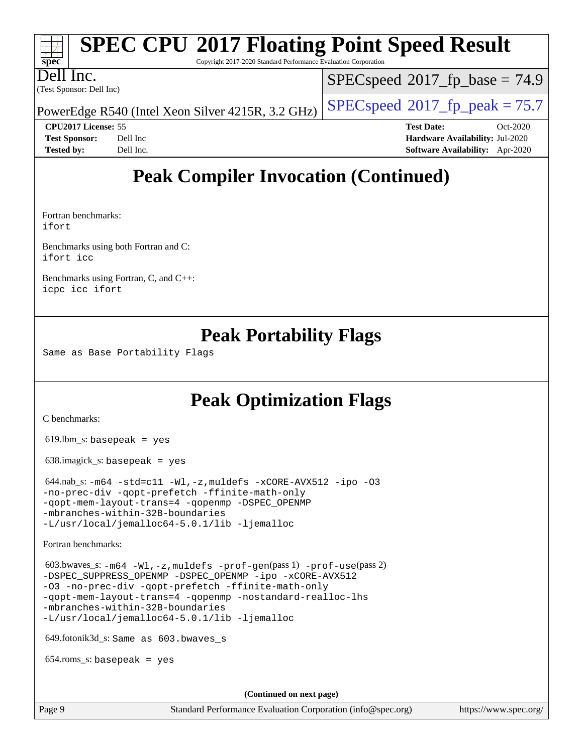Copyright 2017-2020 Standard Performance Evaluation Corporation

Dell Inc.

**[spec](http://www.spec.org/)**

(Test Sponsor: Dell Inc)

 $SPECspeed*2017_fp\_base = 74.9$  $SPECspeed*2017_fp\_base = 74.9$ 

PowerEdge R540 (Intel Xeon Silver 4215R, 3.2 GHz)  $\left|$  [SPECspeed](http://www.spec.org/auto/cpu2017/Docs/result-fields.html#SPECspeed2017fppeak)<sup>®</sup>[2017\\_fp\\_peak = 7](http://www.spec.org/auto/cpu2017/Docs/result-fields.html#SPECspeed2017fppeak)5.7

**[CPU2017 License:](http://www.spec.org/auto/cpu2017/Docs/result-fields.html#CPU2017License)** 55 **[Test Date:](http://www.spec.org/auto/cpu2017/Docs/result-fields.html#TestDate)** Oct-2020 **[Test Sponsor:](http://www.spec.org/auto/cpu2017/Docs/result-fields.html#TestSponsor)** Dell Inc **[Hardware Availability:](http://www.spec.org/auto/cpu2017/Docs/result-fields.html#HardwareAvailability)** Jul-2020 **[Tested by:](http://www.spec.org/auto/cpu2017/Docs/result-fields.html#Testedby)** Dell Inc. **[Software Availability:](http://www.spec.org/auto/cpu2017/Docs/result-fields.html#SoftwareAvailability)** Apr-2020

# **[Peak Compiler Invocation \(Continued\)](http://www.spec.org/auto/cpu2017/Docs/result-fields.html#PeakCompilerInvocation)**

[Fortran benchmarks:](http://www.spec.org/auto/cpu2017/Docs/result-fields.html#Fortranbenchmarks) [ifort](http://www.spec.org/cpu2017/results/res2020q4/cpu2017-20201020-24226.flags.html#user_FCpeak_intel_ifort_8111460550e3ca792625aed983ce982f94888b8b503583aa7ba2b8303487b4d8a21a13e7191a45c5fd58ff318f48f9492884d4413fa793fd88dd292cad7027ca)

[Benchmarks using both Fortran and C:](http://www.spec.org/auto/cpu2017/Docs/result-fields.html#BenchmarksusingbothFortranandC) [ifort](http://www.spec.org/cpu2017/results/res2020q4/cpu2017-20201020-24226.flags.html#user_CC_FCpeak_intel_ifort_8111460550e3ca792625aed983ce982f94888b8b503583aa7ba2b8303487b4d8a21a13e7191a45c5fd58ff318f48f9492884d4413fa793fd88dd292cad7027ca) [icc](http://www.spec.org/cpu2017/results/res2020q4/cpu2017-20201020-24226.flags.html#user_CC_FCpeak_intel_icc_66fc1ee009f7361af1fbd72ca7dcefbb700085f36577c54f309893dd4ec40d12360134090235512931783d35fd58c0460139e722d5067c5574d8eaf2b3e37e92)

[Benchmarks using Fortran, C, and C++](http://www.spec.org/auto/cpu2017/Docs/result-fields.html#BenchmarksusingFortranCandCXX): [icpc](http://www.spec.org/cpu2017/results/res2020q4/cpu2017-20201020-24226.flags.html#user_CC_CXX_FCpeak_intel_icpc_c510b6838c7f56d33e37e94d029a35b4a7bccf4766a728ee175e80a419847e808290a9b78be685c44ab727ea267ec2f070ec5dc83b407c0218cded6866a35d07) [icc](http://www.spec.org/cpu2017/results/res2020q4/cpu2017-20201020-24226.flags.html#user_CC_CXX_FCpeak_intel_icc_66fc1ee009f7361af1fbd72ca7dcefbb700085f36577c54f309893dd4ec40d12360134090235512931783d35fd58c0460139e722d5067c5574d8eaf2b3e37e92) [ifort](http://www.spec.org/cpu2017/results/res2020q4/cpu2017-20201020-24226.flags.html#user_CC_CXX_FCpeak_intel_ifort_8111460550e3ca792625aed983ce982f94888b8b503583aa7ba2b8303487b4d8a21a13e7191a45c5fd58ff318f48f9492884d4413fa793fd88dd292cad7027ca)

## **[Peak Portability Flags](http://www.spec.org/auto/cpu2017/Docs/result-fields.html#PeakPortabilityFlags)**

Same as Base Portability Flags

# **[Peak Optimization Flags](http://www.spec.org/auto/cpu2017/Docs/result-fields.html#PeakOptimizationFlags)**

[C benchmarks](http://www.spec.org/auto/cpu2017/Docs/result-fields.html#Cbenchmarks):

619.lbm\_s: basepeak = yes

638.imagick\_s: basepeak = yes

 $644.nab$ \_s:  $-m64$   $-std= c11$   $-Wl$ ,  $-z$ , muldefs  $-xCORE-AVX512$   $-ipo$   $-03$ [-no-prec-div](http://www.spec.org/cpu2017/results/res2020q4/cpu2017-20201020-24226.flags.html#user_peakCOPTIMIZE644_nab_s_f-no-prec-div) [-qopt-prefetch](http://www.spec.org/cpu2017/results/res2020q4/cpu2017-20201020-24226.flags.html#user_peakCOPTIMIZE644_nab_s_f-qopt-prefetch) [-ffinite-math-only](http://www.spec.org/cpu2017/results/res2020q4/cpu2017-20201020-24226.flags.html#user_peakCOPTIMIZE644_nab_s_f_finite_math_only_cb91587bd2077682c4b38af759c288ed7c732db004271a9512da14a4f8007909a5f1427ecbf1a0fb78ff2a814402c6114ac565ca162485bbcae155b5e4258871) [-qopt-mem-layout-trans=4](http://www.spec.org/cpu2017/results/res2020q4/cpu2017-20201020-24226.flags.html#user_peakCOPTIMIZE644_nab_s_f-qopt-mem-layout-trans_fa39e755916c150a61361b7846f310bcdf6f04e385ef281cadf3647acec3f0ae266d1a1d22d972a7087a248fd4e6ca390a3634700869573d231a252c784941a8) [-qopenmp](http://www.spec.org/cpu2017/results/res2020q4/cpu2017-20201020-24226.flags.html#user_peakCOPTIMIZE644_nab_s_qopenmp_16be0c44f24f464004c6784a7acb94aca937f053568ce72f94b139a11c7c168634a55f6653758ddd83bcf7b8463e8028bb0b48b77bcddc6b78d5d95bb1df2967) [-DSPEC\\_OPENMP](http://www.spec.org/cpu2017/results/res2020q4/cpu2017-20201020-24226.flags.html#suite_peakCOPTIMIZE644_nab_s_DSPEC_OPENMP) [-mbranches-within-32B-boundaries](http://www.spec.org/cpu2017/results/res2020q4/cpu2017-20201020-24226.flags.html#user_peakEXTRA_COPTIMIZE644_nab_s_f-mbranches-within-32B-boundaries) [-L/usr/local/jemalloc64-5.0.1/lib](http://www.spec.org/cpu2017/results/res2020q4/cpu2017-20201020-24226.flags.html#user_peakEXTRA_LIBS644_nab_s_jemalloc_link_path64_1_cc289568b1a6c0fd3b62c91b824c27fcb5af5e8098e6ad028160d21144ef1b8aef3170d2acf0bee98a8da324cfe4f67d0a3d0c4cc4673d993d694dc2a0df248b) [-ljemalloc](http://www.spec.org/cpu2017/results/res2020q4/cpu2017-20201020-24226.flags.html#user_peakEXTRA_LIBS644_nab_s_jemalloc_link_lib_d1249b907c500fa1c0672f44f562e3d0f79738ae9e3c4a9c376d49f265a04b9c99b167ecedbf6711b3085be911c67ff61f150a17b3472be731631ba4d0471706)

[Fortran benchmarks](http://www.spec.org/auto/cpu2017/Docs/result-fields.html#Fortranbenchmarks):

 603.bwaves\_s: [-m64](http://www.spec.org/cpu2017/results/res2020q4/cpu2017-20201020-24226.flags.html#user_peakFCLD603_bwaves_s_m64-icc) [-Wl,-z,muldefs](http://www.spec.org/cpu2017/results/res2020q4/cpu2017-20201020-24226.flags.html#user_peakEXTRA_LDFLAGS603_bwaves_s_link_force_multiple1_b4cbdb97b34bdee9ceefcfe54f4c8ea74255f0b02a4b23e853cdb0e18eb4525ac79b5a88067c842dd0ee6996c24547a27a4b99331201badda8798ef8a743f577) [-prof-gen](http://www.spec.org/cpu2017/results/res2020q4/cpu2017-20201020-24226.flags.html#user_peakPASS1_FFLAGSPASS1_LDFLAGS603_bwaves_s_prof_gen_5aa4926d6013ddb2a31985c654b3eb18169fc0c6952a63635c234f711e6e63dd76e94ad52365559451ec499a2cdb89e4dc58ba4c67ef54ca681ffbe1461d6b36)(pass 1) [-prof-use](http://www.spec.org/cpu2017/results/res2020q4/cpu2017-20201020-24226.flags.html#user_peakPASS2_FFLAGSPASS2_LDFLAGS603_bwaves_s_prof_use_1a21ceae95f36a2b53c25747139a6c16ca95bd9def2a207b4f0849963b97e94f5260e30a0c64f4bb623698870e679ca08317ef8150905d41bd88c6f78df73f19)(pass 2) [-DSPEC\\_SUPPRESS\\_OPENMP](http://www.spec.org/cpu2017/results/res2020q4/cpu2017-20201020-24226.flags.html#suite_peakPASS1_FOPTIMIZE603_bwaves_s_DSPEC_SUPPRESS_OPENMP) [-DSPEC\\_OPENMP](http://www.spec.org/cpu2017/results/res2020q4/cpu2017-20201020-24226.flags.html#suite_peakPASS2_FOPTIMIZE603_bwaves_s_DSPEC_OPENMP) [-ipo](http://www.spec.org/cpu2017/results/res2020q4/cpu2017-20201020-24226.flags.html#user_peakPASS1_FOPTIMIZEPASS2_FOPTIMIZE603_bwaves_s_f-ipo) [-xCORE-AVX512](http://www.spec.org/cpu2017/results/res2020q4/cpu2017-20201020-24226.flags.html#user_peakPASS2_FOPTIMIZE603_bwaves_s_f-xCORE-AVX512) [-O3](http://www.spec.org/cpu2017/results/res2020q4/cpu2017-20201020-24226.flags.html#user_peakPASS1_FOPTIMIZEPASS2_FOPTIMIZE603_bwaves_s_f-O3) [-no-prec-div](http://www.spec.org/cpu2017/results/res2020q4/cpu2017-20201020-24226.flags.html#user_peakPASS1_FOPTIMIZEPASS2_FOPTIMIZE603_bwaves_s_f-no-prec-div) [-qopt-prefetch](http://www.spec.org/cpu2017/results/res2020q4/cpu2017-20201020-24226.flags.html#user_peakPASS1_FOPTIMIZEPASS2_FOPTIMIZE603_bwaves_s_f-qopt-prefetch) [-ffinite-math-only](http://www.spec.org/cpu2017/results/res2020q4/cpu2017-20201020-24226.flags.html#user_peakPASS1_FOPTIMIZEPASS2_FOPTIMIZE603_bwaves_s_f_finite_math_only_cb91587bd2077682c4b38af759c288ed7c732db004271a9512da14a4f8007909a5f1427ecbf1a0fb78ff2a814402c6114ac565ca162485bbcae155b5e4258871) [-qopt-mem-layout-trans=4](http://www.spec.org/cpu2017/results/res2020q4/cpu2017-20201020-24226.flags.html#user_peakPASS1_FOPTIMIZEPASS2_FOPTIMIZE603_bwaves_s_f-qopt-mem-layout-trans_fa39e755916c150a61361b7846f310bcdf6f04e385ef281cadf3647acec3f0ae266d1a1d22d972a7087a248fd4e6ca390a3634700869573d231a252c784941a8) [-qopenmp](http://www.spec.org/cpu2017/results/res2020q4/cpu2017-20201020-24226.flags.html#user_peakPASS2_FOPTIMIZE603_bwaves_s_qopenmp_16be0c44f24f464004c6784a7acb94aca937f053568ce72f94b139a11c7c168634a55f6653758ddd83bcf7b8463e8028bb0b48b77bcddc6b78d5d95bb1df2967) [-nostandard-realloc-lhs](http://www.spec.org/cpu2017/results/res2020q4/cpu2017-20201020-24226.flags.html#user_peakEXTRA_FOPTIMIZE603_bwaves_s_f_2003_std_realloc_82b4557e90729c0f113870c07e44d33d6f5a304b4f63d4c15d2d0f1fab99f5daaed73bdb9275d9ae411527f28b936061aa8b9c8f2d63842963b95c9dd6426b8a) [-mbranches-within-32B-boundaries](http://www.spec.org/cpu2017/results/res2020q4/cpu2017-20201020-24226.flags.html#user_peakEXTRA_FOPTIMIZE603_bwaves_s_f-mbranches-within-32B-boundaries) [-L/usr/local/jemalloc64-5.0.1/lib](http://www.spec.org/cpu2017/results/res2020q4/cpu2017-20201020-24226.flags.html#user_peakEXTRA_LIBS603_bwaves_s_jemalloc_link_path64_1_cc289568b1a6c0fd3b62c91b824c27fcb5af5e8098e6ad028160d21144ef1b8aef3170d2acf0bee98a8da324cfe4f67d0a3d0c4cc4673d993d694dc2a0df248b) [-ljemalloc](http://www.spec.org/cpu2017/results/res2020q4/cpu2017-20201020-24226.flags.html#user_peakEXTRA_LIBS603_bwaves_s_jemalloc_link_lib_d1249b907c500fa1c0672f44f562e3d0f79738ae9e3c4a9c376d49f265a04b9c99b167ecedbf6711b3085be911c67ff61f150a17b3472be731631ba4d0471706)

649.fotonik3d\_s: Same as 603.bwaves\_s

654.roms\_s: basepeak = yes

**(Continued on next page)**